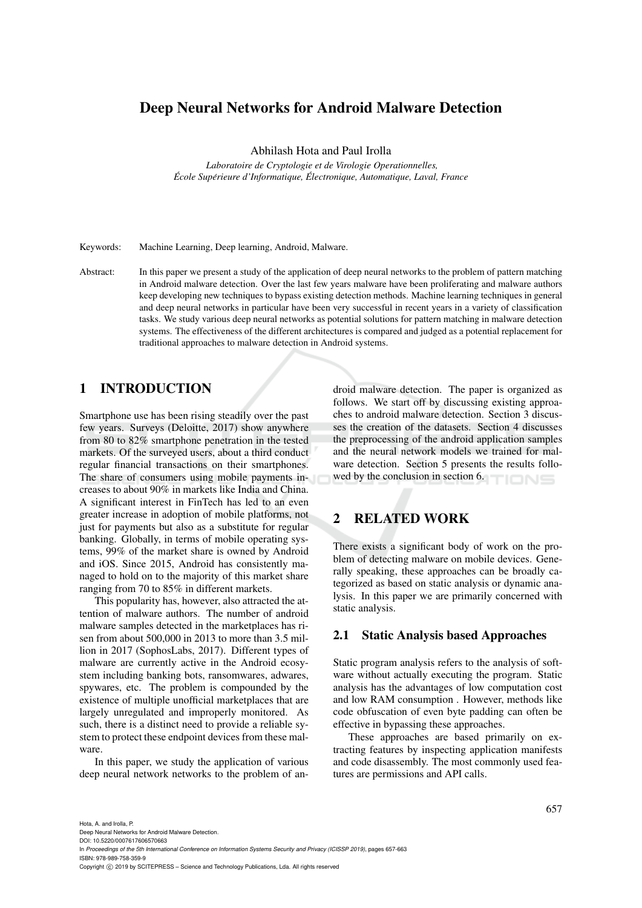## Deep Neural Networks for Android Malware Detection

Abhilash Hota and Paul Irolla

*Laboratoire de Cryptologie et de Virologie Operationnelles, Ecole Sup ´ erieure d'Informatique, ´ Electronique, Automatique, Laval, France ´*

Keywords: Machine Learning, Deep learning, Android, Malware.

Abstract: In this paper we present a study of the application of deep neural networks to the problem of pattern matching in Android malware detection. Over the last few years malware have been proliferating and malware authors keep developing new techniques to bypass existing detection methods. Machine learning techniques in general and deep neural networks in particular have been very successful in recent years in a variety of classification tasks. We study various deep neural networks as potential solutions for pattern matching in malware detection systems. The effectiveness of the different architectures is compared and judged as a potential replacement for traditional approaches to malware detection in Android systems.

## 1 INTRODUCTION

Smartphone use has been rising steadily over the past few years. Surveys (Deloitte, 2017) show anywhere from 80 to 82% smartphone penetration in the tested markets. Of the surveyed users, about a third conduct regular financial transactions on their smartphones. The share of consumers using mobile payments increases to about 90% in markets like India and China. A significant interest in FinTech has led to an even greater increase in adoption of mobile platforms, not just for payments but also as a substitute for regular banking. Globally, in terms of mobile operating systems, 99% of the market share is owned by Android and iOS. Since 2015, Android has consistently managed to hold on to the majority of this market share ranging from 70 to 85% in different markets.

This popularity has, however, also attracted the attention of malware authors. The number of android malware samples detected in the marketplaces has risen from about 500,000 in 2013 to more than 3.5 million in 2017 (SophosLabs, 2017). Different types of malware are currently active in the Android ecosystem including banking bots, ransomwares, adwares, spywares, etc. The problem is compounded by the existence of multiple unofficial marketplaces that are largely unregulated and improperly monitored. As such, there is a distinct need to provide a reliable system to protect these endpoint devices from these malware.

In this paper, we study the application of various deep neural network networks to the problem of android malware detection. The paper is organized as follows. We start off by discussing existing approaches to android malware detection. Section 3 discusses the creation of the datasets. Section 4 discusses the preprocessing of the android application samples and the neural network models we trained for malware detection. Section 5 presents the results followed by the conclusion in section 6. TIONS

## 2 RELATED WORK

There exists a significant body of work on the problem of detecting malware on mobile devices. Generally speaking, these approaches can be broadly categorized as based on static analysis or dynamic analysis. In this paper we are primarily concerned with static analysis.

#### 2.1 Static Analysis based Approaches

Static program analysis refers to the analysis of software without actually executing the program. Static analysis has the advantages of low computation cost and low RAM consumption . However, methods like code obfuscation of even byte padding can often be effective in bypassing these approaches.

These approaches are based primarily on extracting features by inspecting application manifests and code disassembly. The most commonly used features are permissions and API calls.

Deep Neural Networks for Android Malware Detection.

DOI: 10.5220/0007617606570663

In *Proceedings of the 5th International Conference on Information Systems Security and Privacy (ICISSP 2019)*, pages 657-663 ISBN: 978-989-758-359-9

Copyright (C) 2019 by SCITEPRESS - Science and Technology Publications, Lda. All rights reserved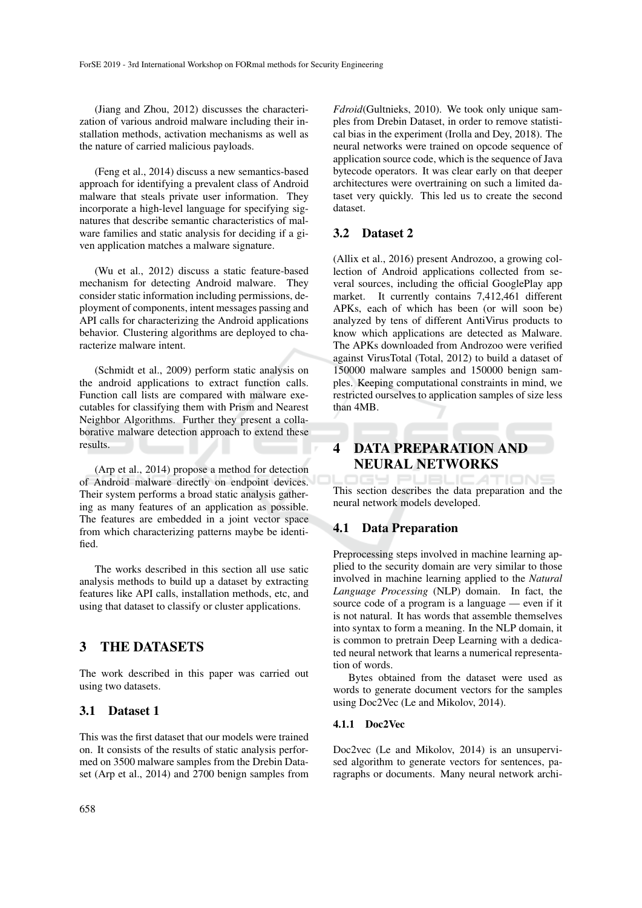(Jiang and Zhou, 2012) discusses the characterization of various android malware including their installation methods, activation mechanisms as well as the nature of carried malicious payloads.

(Feng et al., 2014) discuss a new semantics-based approach for identifying a prevalent class of Android malware that steals private user information. They incorporate a high-level language for specifying signatures that describe semantic characteristics of malware families and static analysis for deciding if a given application matches a malware signature.

(Wu et al., 2012) discuss a static feature-based mechanism for detecting Android malware. They consider static information including permissions, deployment of components, intent messages passing and API calls for characterizing the Android applications behavior. Clustering algorithms are deployed to characterize malware intent.

(Schmidt et al., 2009) perform static analysis on the android applications to extract function calls. Function call lists are compared with malware executables for classifying them with Prism and Nearest Neighbor Algorithms. Further they present a collaborative malware detection approach to extend these results.

(Arp et al., 2014) propose a method for detection of Android malware directly on endpoint devices. Their system performs a broad static analysis gathering as many features of an application as possible. The features are embedded in a joint vector space from which characterizing patterns maybe be identified.

The works described in this section all use satic analysis methods to build up a dataset by extracting features like API calls, installation methods, etc, and using that dataset to classify or cluster applications.

## 3 THE DATASETS

The work described in this paper was carried out using two datasets.

### 3.1 Dataset 1

This was the first dataset that our models were trained on. It consists of the results of static analysis performed on 3500 malware samples from the Drebin Dataset (Arp et al., 2014) and 2700 benign samples from

*Fdroid*(Gultnieks, 2010). We took only unique samples from Drebin Dataset, in order to remove statistical bias in the experiment (Irolla and Dey, 2018). The neural networks were trained on opcode sequence of application source code, which is the sequence of Java bytecode operators. It was clear early on that deeper architectures were overtraining on such a limited dataset very quickly. This led us to create the second dataset.

### 3.2 Dataset 2

(Allix et al., 2016) present Androzoo, a growing collection of Android applications collected from several sources, including the official GooglePlay app market. It currently contains 7,412,461 different APKs, each of which has been (or will soon be) analyzed by tens of different AntiVirus products to know which applications are detected as Malware. The APKs downloaded from Androzoo were verified against VirusTotal (Total, 2012) to build a dataset of 150000 malware samples and 150000 benign samples. Keeping computational constraints in mind, we restricted ourselves to application samples of size less than 4MB.

# 4 DATA PREPARATION AND NEURAL NETWORKS

This section describes the data preparation and the neural network models developed.

### 4.1 Data Preparation

Preprocessing steps involved in machine learning applied to the security domain are very similar to those involved in machine learning applied to the *Natural Language Processing* (NLP) domain. In fact, the source code of a program is a language — even if it is not natural. It has words that assemble themselves into syntax to form a meaning. In the NLP domain, it is common to pretrain Deep Learning with a dedicated neural network that learns a numerical representation of words.

Bytes obtained from the dataset were used as words to generate document vectors for the samples using Doc2Vec (Le and Mikolov, 2014).

#### 4.1.1 Doc2Vec

Doc2vec (Le and Mikolov, 2014) is an unsupervised algorithm to generate vectors for sentences, paragraphs or documents. Many neural network archi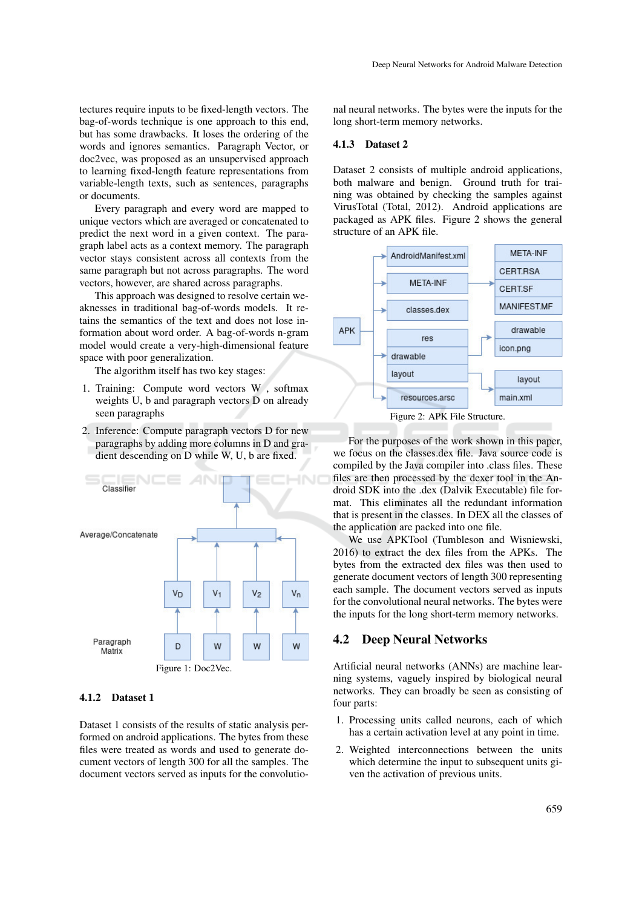tectures require inputs to be fixed-length vectors. The bag-of-words technique is one approach to this end, but has some drawbacks. It loses the ordering of the words and ignores semantics. Paragraph Vector, or doc2vec, was proposed as an unsupervised approach to learning fixed-length feature representations from variable-length texts, such as sentences, paragraphs or documents.

Every paragraph and every word are mapped to unique vectors which are averaged or concatenated to predict the next word in a given context. The paragraph label acts as a context memory. The paragraph vector stays consistent across all contexts from the same paragraph but not across paragraphs. The word vectors, however, are shared across paragraphs.

This approach was designed to resolve certain weaknesses in traditional bag-of-words models. It retains the semantics of the text and does not lose information about word order. A bag-of-words n-gram model would create a very-high-dimensional feature space with poor generalization.

The algorithm itself has two key stages:

- 1. Training: Compute word vectors W , softmax weights U, b and paragraph vectors D on already seen paragraphs
- 2. Inference: Compute paragraph vectors D for new paragraphs by adding more columns in D and gradient descending on D while W, U, b are fixed.



#### 4.1.2 Dataset 1

Dataset 1 consists of the results of static analysis performed on android applications. The bytes from these files were treated as words and used to generate document vectors of length 300 for all the samples. The document vectors served as inputs for the convolutional neural networks. The bytes were the inputs for the long short-term memory networks.

#### 4.1.3 Dataset 2

Dataset 2 consists of multiple android applications, both malware and benign. Ground truth for training was obtained by checking the samples against VirusTotal (Total, 2012). Android applications are packaged as APK files. Figure 2 shows the general structure of an APK file.



Figure 2: APK File Structure.

For the purposes of the work shown in this paper, we focus on the classes.dex file. Java source code is compiled by the Java compiler into .class files. These files are then processed by the dexer tool in the Android SDK into the .dex (Dalvik Executable) file format. This eliminates all the redundant information that is present in the classes. In DEX all the classes of the application are packed into one file.

We use APKTool (Tumbleson and Wisniewski, 2016) to extract the dex files from the APKs. The bytes from the extracted dex files was then used to generate document vectors of length 300 representing each sample. The document vectors served as inputs for the convolutional neural networks. The bytes were the inputs for the long short-term memory networks.

#### 4.2 Deep Neural Networks

Artificial neural networks (ANNs) are machine learning systems, vaguely inspired by biological neural networks. They can broadly be seen as consisting of four parts:

- 1. Processing units called neurons, each of which has a certain activation level at any point in time.
- 2. Weighted interconnections between the units which determine the input to subsequent units given the activation of previous units.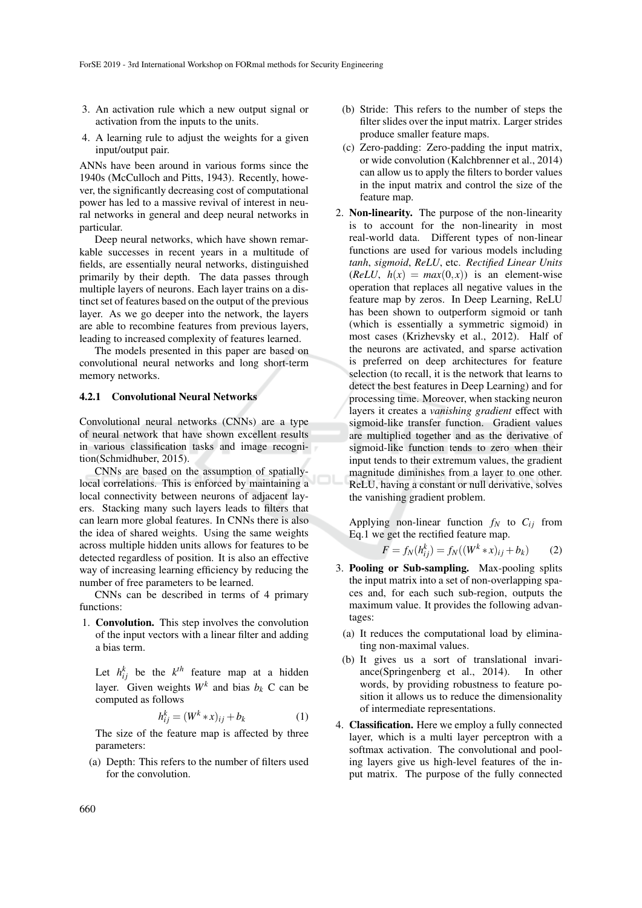- 3. An activation rule which a new output signal or activation from the inputs to the units.
- 4. A learning rule to adjust the weights for a given input/output pair.

ANNs have been around in various forms since the 1940s (McCulloch and Pitts, 1943). Recently, however, the significantly decreasing cost of computational power has led to a massive revival of interest in neural networks in general and deep neural networks in particular.

Deep neural networks, which have shown remarkable successes in recent years in a multitude of fields, are essentially neural networks, distinguished primarily by their depth. The data passes through multiple layers of neurons. Each layer trains on a distinct set of features based on the output of the previous layer. As we go deeper into the network, the layers are able to recombine features from previous layers, leading to increased complexity of features learned.

The models presented in this paper are based on convolutional neural networks and long short-term memory networks.

#### 4.2.1 Convolutional Neural Networks

Convolutional neural networks (CNNs) are a type of neural network that have shown excellent results in various classification tasks and image recognition(Schmidhuber, 2015).

CNNs are based on the assumption of spatiallylocal correlations. This is enforced by maintaining a local connectivity between neurons of adjacent layers. Stacking many such layers leads to filters that can learn more global features. In CNNs there is also the idea of shared weights. Using the same weights across multiple hidden units allows for features to be detected regardless of position. It is also an effective way of increasing learning efficiency by reducing the number of free parameters to be learned.

CNNs can be described in terms of 4 primary functions:

1. Convolution. This step involves the convolution of the input vectors with a linear filter and adding a bias term.

Let  $h_{ij}^k$  be the  $k^{th}$  feature map at a hidden layer. Given weights  $W^k$  and bias  $b_k$  C can be computed as follows

$$
h_{ij}^k = (W^k * x)_{ij} + b_k \tag{1}
$$

The size of the feature map is affected by three parameters:

(a) Depth: This refers to the number of filters used for the convolution.

- (b) Stride: This refers to the number of steps the filter slides over the input matrix. Larger strides produce smaller feature maps.
- (c) Zero-padding: Zero-padding the input matrix, or wide convolution (Kalchbrenner et al., 2014) can allow us to apply the filters to border values in the input matrix and control the size of the feature map.
- 2. Non-linearity. The purpose of the non-linearity is to account for the non-linearity in most real-world data. Different types of non-linear functions are used for various models including *tanh*, *sigmoid*, *ReLU*, etc. *Rectified Linear Units*  $(ReLU, h(x) = max(0, x))$  is an element-wise operation that replaces all negative values in the feature map by zeros. In Deep Learning, ReLU has been shown to outperform sigmoid or tanh (which is essentially a symmetric sigmoid) in most cases (Krizhevsky et al., 2012). Half of the neurons are activated, and sparse activation is preferred on deep architectures for feature selection (to recall, it is the network that learns to detect the best features in Deep Learning) and for processing time. Moreover, when stacking neuron layers it creates a *vanishing gradient* effect with sigmoid-like transfer function. Gradient values are multiplied together and as the derivative of sigmoid-like function tends to zero when their input tends to their extremum values, the gradient magnitude diminishes from a layer to one other. ReLU, having a constant or null derivative, solves the vanishing gradient problem.

Applying non-linear function  $f_N$  to  $C_{ij}$  from Eq.1 we get the rectified feature map.

$$
F = f_N(h_{ij}^k) = f_N((W^k * x)_{ij} + b_k)
$$
 (2)

- 3. Pooling or Sub-sampling. Max-pooling splits the input matrix into a set of non-overlapping spaces and, for each such sub-region, outputs the maximum value. It provides the following advantages:
	- (a) It reduces the computational load by eliminating non-maximal values.
	- (b) It gives us a sort of translational invariance(Springenberg et al., 2014). In other words, by providing robustness to feature position it allows us to reduce the dimensionality of intermediate representations.
- 4. Classification. Here we employ a fully connected layer, which is a multi layer perceptron with a softmax activation. The convolutional and pooling layers give us high-level features of the input matrix. The purpose of the fully connected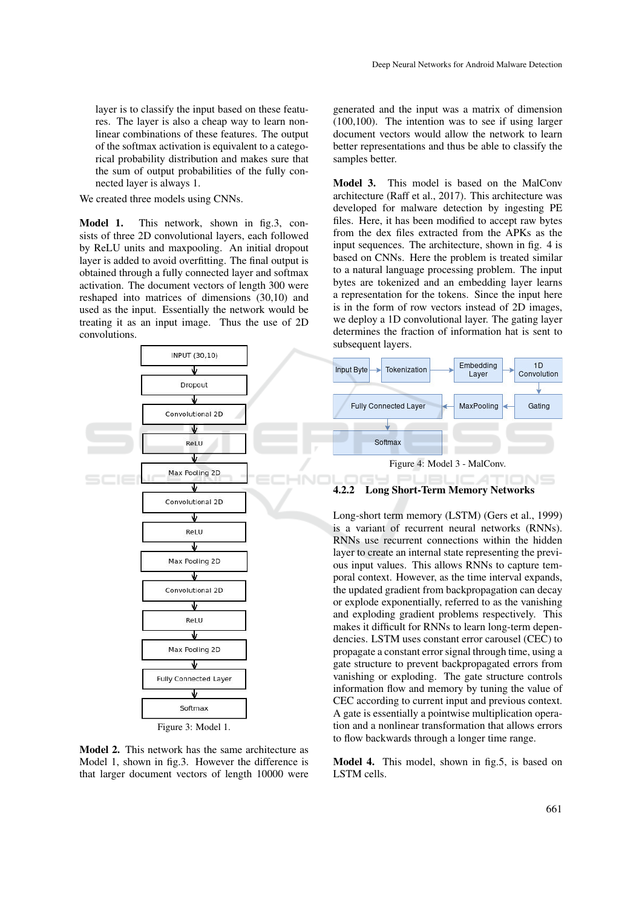layer is to classify the input based on these features. The layer is also a cheap way to learn nonlinear combinations of these features. The output of the softmax activation is equivalent to a categorical probability distribution and makes sure that the sum of output probabilities of the fully connected layer is always 1.

We created three models using CNNs.

Model 1. This network, shown in fig.3, consists of three 2D convolutional layers, each followed by ReLU units and maxpooling. An initial dropout layer is added to avoid overfitting. The final output is obtained through a fully connected layer and softmax activation. The document vectors of length 300 were reshaped into matrices of dimensions (30,10) and used as the input. Essentially the network would be treating it as an input image. Thus the use of 2D convolutions.



Figure 3: Model 1.

Model 2. This network has the same architecture as Model 1, shown in fig.3. However the difference is that larger document vectors of length 10000 were

generated and the input was a matrix of dimension (100,100). The intention was to see if using larger document vectors would allow the network to learn better representations and thus be able to classify the samples better.

Model 3. This model is based on the MalConv architecture (Raff et al., 2017). This architecture was developed for malware detection by ingesting PE files. Here, it has been modified to accept raw bytes from the dex files extracted from the APKs as the input sequences. The architecture, shown in fig. 4 is based on CNNs. Here the problem is treated similar to a natural language processing problem. The input bytes are tokenized and an embedding layer learns a representation for the tokens. Since the input here is in the form of row vectors instead of 2D images, we deploy a 1D convolutional layer. The gating layer determines the fraction of information hat is sent to subsequent layers.



4.2.2 Long Short-Term Memory Networks

Long-short term memory (LSTM) (Gers et al., 1999) is a variant of recurrent neural networks (RNNs). RNNs use recurrent connections within the hidden layer to create an internal state representing the previous input values. This allows RNNs to capture temporal context. However, as the time interval expands, the updated gradient from backpropagation can decay or explode exponentially, referred to as the vanishing and exploding gradient problems respectively. This makes it difficult for RNNs to learn long-term dependencies. LSTM uses constant error carousel (CEC) to propagate a constant error signal through time, using a gate structure to prevent backpropagated errors from vanishing or exploding. The gate structure controls information flow and memory by tuning the value of CEC according to current input and previous context. A gate is essentially a pointwise multiplication operation and a nonlinear transformation that allows errors to flow backwards through a longer time range.

Model 4. This model, shown in fig.5, is based on LSTM cells.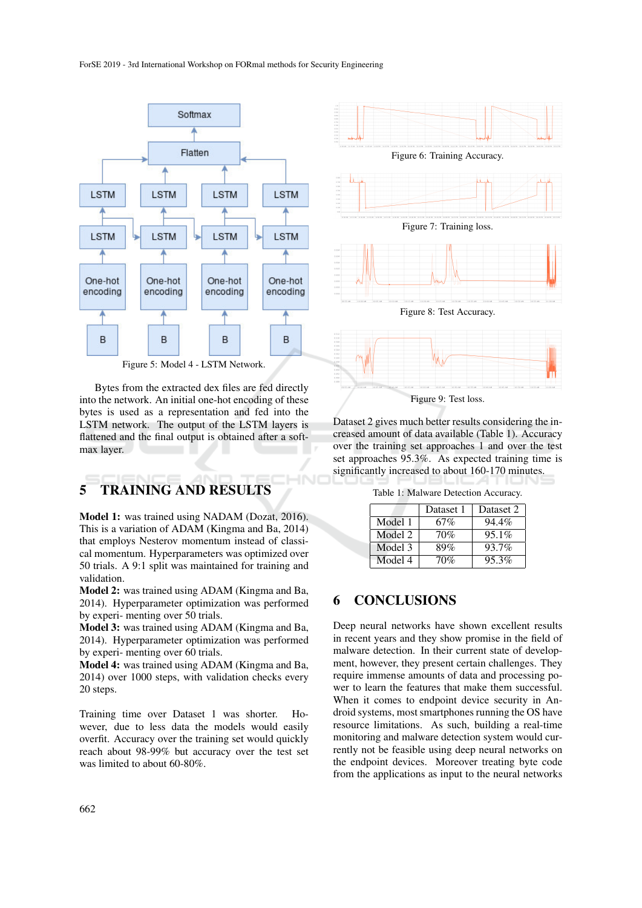

Figure 5: Model 4 - LSTM Network.

Bytes from the extracted dex files are fed directly into the network. An initial one-hot encoding of these bytes is used as a representation and fed into the LSTM network. The output of the LSTM layers is flattened and the final output is obtained after a softmax layer.

# 5 TRAINING AND RESULTS

Model 1: was trained using NADAM (Dozat, 2016). This is a variation of ADAM (Kingma and Ba, 2014) that employs Nesterov momentum instead of classical momentum. Hyperparameters was optimized over 50 trials. A 9:1 split was maintained for training and validation.

Model 2: was trained using ADAM (Kingma and Ba, 2014). Hyperparameter optimization was performed by experi- menting over 50 trials.

Model 3: was trained using ADAM (Kingma and Ba, 2014). Hyperparameter optimization was performed by experi- menting over 60 trials.

Model 4: was trained using ADAM (Kingma and Ba, 2014) over 1000 steps, with validation checks every 20 steps.

Training time over Dataset 1 was shorter. However, due to less data the models would easily overfit. Accuracy over the training set would quickly reach about 98-99% but accuracy over the test set was limited to about 60-80%.



Dataset 2 gives much better results considering the increased amount of data available (Table 1). Accuracy over the training set approaches 1 and over the test set approaches 95.3%. As expected training time is significantly increased to about 160-170 minutes.

|  |  |  | Table 1: Malware Detection Accuracy. |  |
|--|--|--|--------------------------------------|--|
|--|--|--|--------------------------------------|--|

|         | Dataset 1 | Dataset 2 |
|---------|-----------|-----------|
| Model 1 | 67%       | $94.4\%$  |
| Model 2 | 70%       | 95.1%     |
| Model 3 | 89%       | 93.7%     |
| Model 4 | 70%       | 95.3%     |

## 6 CONCLUSIONS

Deep neural networks have shown excellent results in recent years and they show promise in the field of malware detection. In their current state of development, however, they present certain challenges. They require immense amounts of data and processing power to learn the features that make them successful. When it comes to endpoint device security in Android systems, most smartphones running the OS have resource limitations. As such, building a real-time monitoring and malware detection system would currently not be feasible using deep neural networks on the endpoint devices. Moreover treating byte code from the applications as input to the neural networks